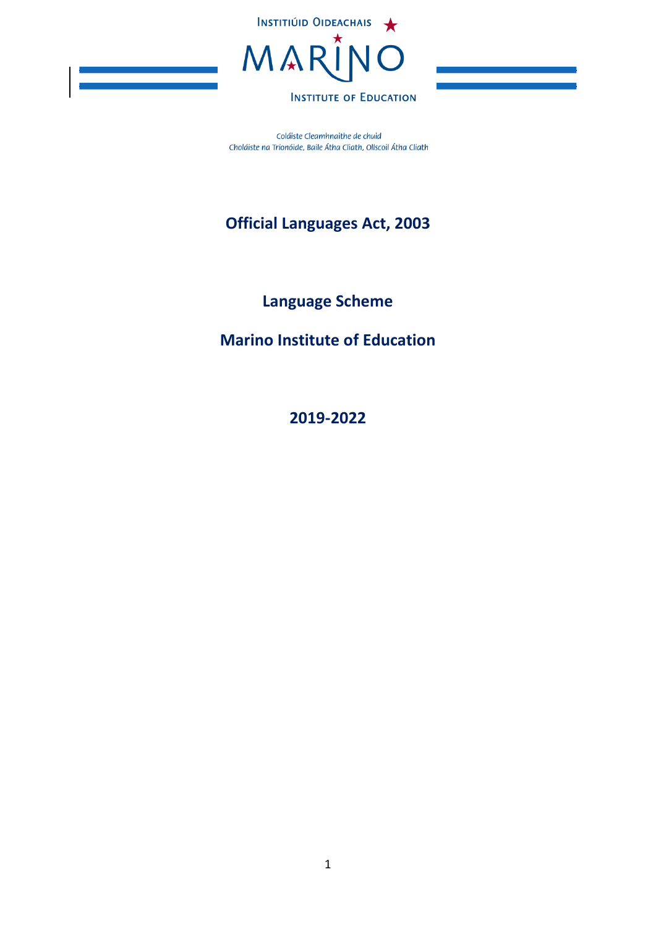

Coláiste Cleamhnaithe de chuid Choláiste na Tríonóide, Baile Átha Cliath, Ollscoil Átha Cliath

# **Official Languages Act, 2003**

**Language Scheme**

**Marino Institute of Education**

**2019-2022**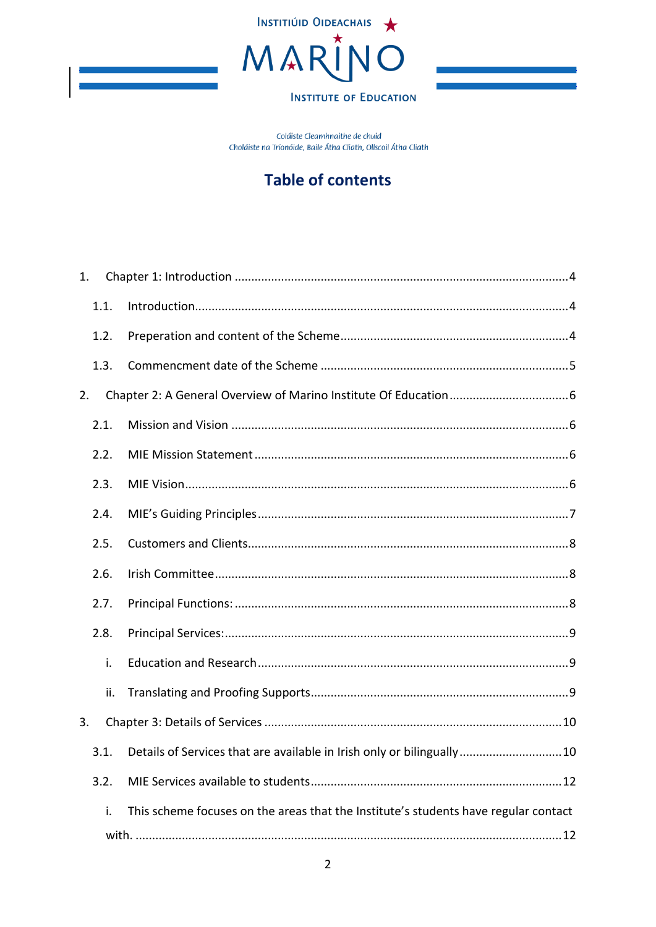

Coláiste Cleamhnaithe de chuid Choláiste na Tríonóide, Baile Átha Cliath, Ollscoil Átha Cliath

# **Table of contents**

| 1. |      |                                                                                     |
|----|------|-------------------------------------------------------------------------------------|
|    | 1.1. |                                                                                     |
|    | 1.2. |                                                                                     |
|    | 1.3. |                                                                                     |
| 2. |      |                                                                                     |
|    | 2.1. |                                                                                     |
|    | 2.2. |                                                                                     |
|    | 2.3. |                                                                                     |
|    | 2.4. |                                                                                     |
|    | 2.5. |                                                                                     |
|    | 2.6. |                                                                                     |
|    | 2.7. |                                                                                     |
|    | 2.8. |                                                                                     |
|    | i.   |                                                                                     |
|    | ii.  |                                                                                     |
| 3. |      |                                                                                     |
|    | 3.1. | Details of Services that are available in Irish only or bilingually10               |
|    | 3.2. |                                                                                     |
|    | i.   | This scheme focuses on the areas that the Institute's students have regular contact |
|    |      | .12                                                                                 |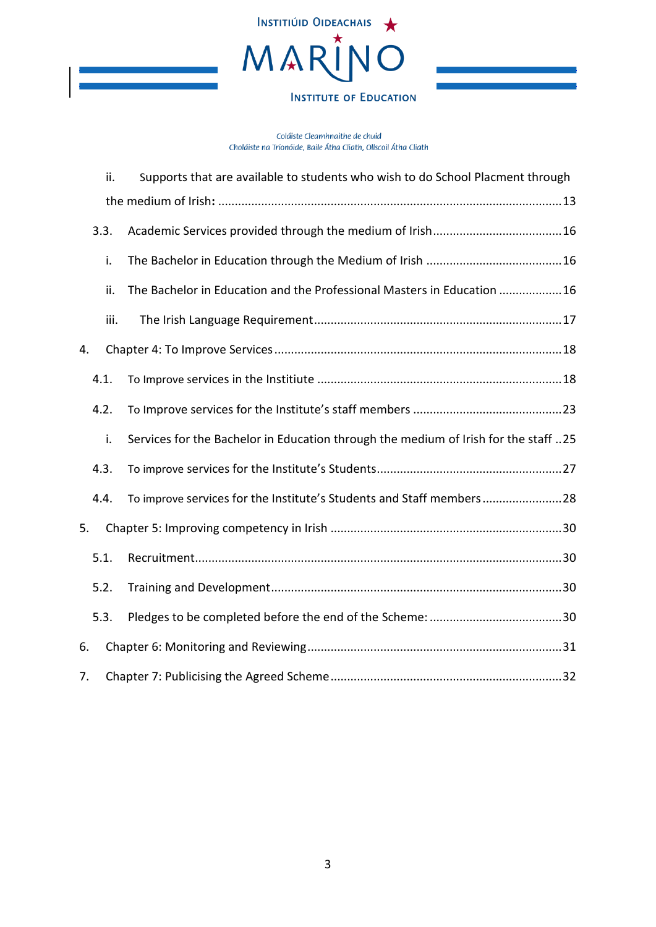

|    | ii.  | Supports that are available to students who wish to do School Placment through      |  |  |
|----|------|-------------------------------------------------------------------------------------|--|--|
|    |      |                                                                                     |  |  |
|    | 3.3. |                                                                                     |  |  |
|    | i.   |                                                                                     |  |  |
|    | ii.  | The Bachelor in Education and the Professional Masters in Education 16              |  |  |
|    | iii. |                                                                                     |  |  |
| 4. |      |                                                                                     |  |  |
|    | 4.1. |                                                                                     |  |  |
|    | 4.2. |                                                                                     |  |  |
|    | i.   | Services for the Bachelor in Education through the medium of Irish for the staff 25 |  |  |
|    | 4.3. |                                                                                     |  |  |
|    | 4.4. | To improve services for the Institute's Students and Staff members28                |  |  |
| 5. |      |                                                                                     |  |  |
|    | 5.1. |                                                                                     |  |  |
|    | 5.2. |                                                                                     |  |  |
|    | 5.3. |                                                                                     |  |  |
| 6. |      |                                                                                     |  |  |
| 7. |      |                                                                                     |  |  |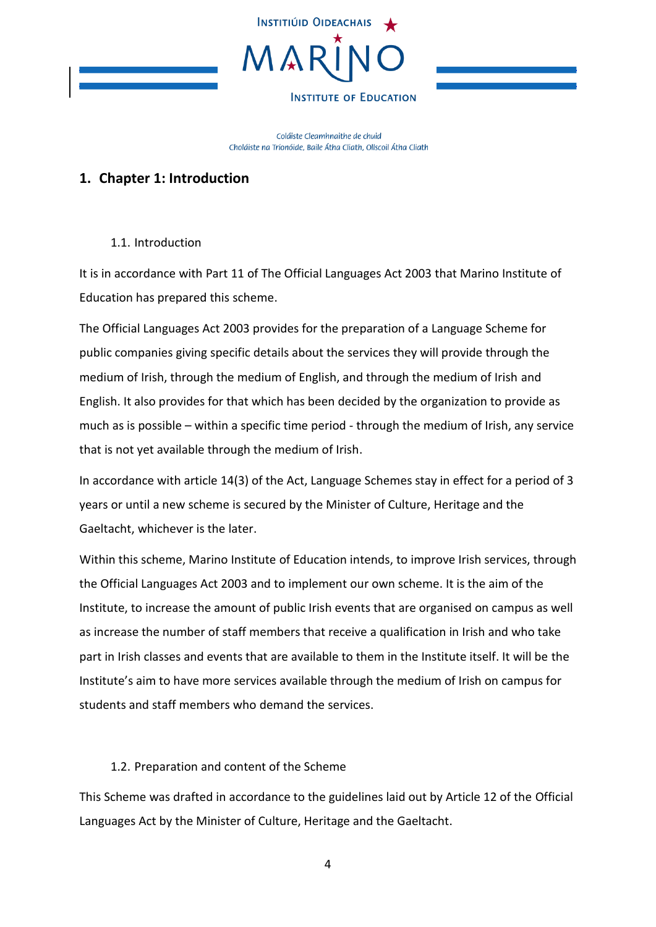

Coláiste Cleamhnaithe de chuid Choláiste na Tríonóide, Baile Átha Cliath, Ollscoil Átha Cliath

## <span id="page-3-0"></span>**1. Chapter 1: Introduction**

### 1.1. Introduction

<span id="page-3-1"></span>It is in accordance with Part 11 of The Official Languages Act 2003 that Marino Institute of Education has prepared this scheme.

The Official Languages Act 2003 provides for the preparation of a Language Scheme for public companies giving specific details about the services they will provide through the medium of Irish, through the medium of English, and through the medium of Irish and English. It also provides for that which has been decided by the organization to provide as much as is possible – within a specific time period - through the medium of Irish, any service that is not yet available through the medium of Irish.

In accordance with article 14(3) of the Act, Language Schemes stay in effect for a period of 3 years or until a new scheme is secured by the Minister of Culture, Heritage and the Gaeltacht, whichever is the later.

Within this scheme, Marino Institute of Education intends, to improve Irish services, through the Official Languages Act 2003 and to implement our own scheme. It is the aim of the Institute, to increase the amount of public Irish events that are organised on campus as well as increase the number of staff members that receive a qualification in Irish and who take part in Irish classes and events that are available to them in the Institute itself. It will be the Institute's aim to have more services available through the medium of Irish on campus for students and staff members who demand the services.

### 1.2. Preparation and content of the Scheme

<span id="page-3-2"></span>This Scheme was drafted in accordance to the guidelines laid out by Article 12 of the Official Languages Act by the Minister of Culture, Heritage and the Gaeltacht.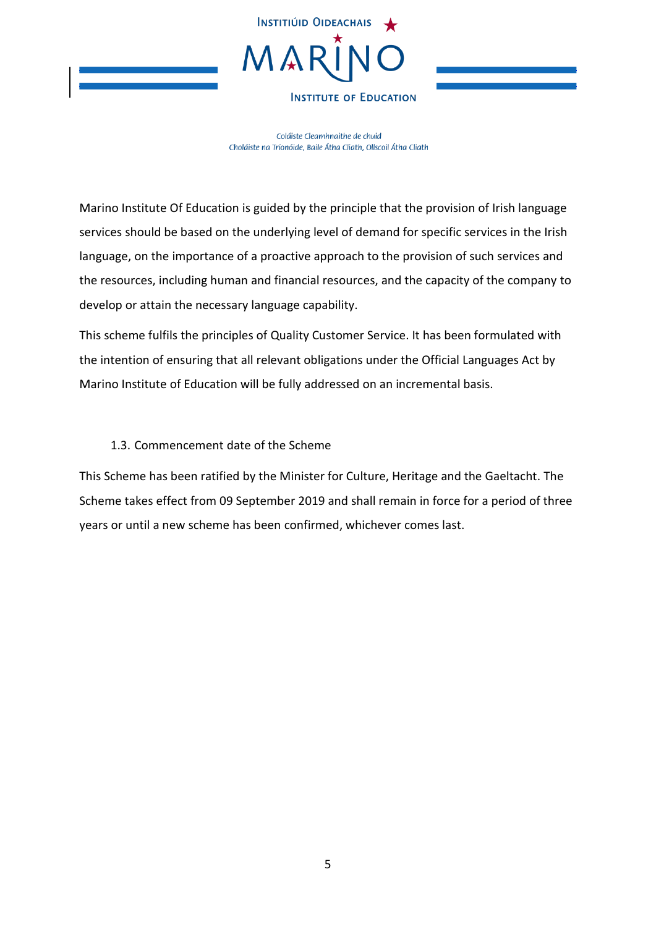

Coláiste Cleamhnaithe de chuid Choláiste na Tríonóide, Baile Átha Cliath, Ollscoil Átha Cliath

Marino Institute Of Education is guided by the principle that the provision of Irish language services should be based on the underlying level of demand for specific services in the Irish language, on the importance of a proactive approach to the provision of such services and the resources, including human and financial resources, and the capacity of the company to develop or attain the necessary language capability.

This scheme fulfils the principles of Quality Customer Service. It has been formulated with the intention of ensuring that all relevant obligations under the Official Languages Act by Marino Institute of Education will be fully addressed on an incremental basis.

### 1.3. Commencement date of the Scheme

<span id="page-4-0"></span>This Scheme has been ratified by the Minister for Culture, Heritage and the Gaeltacht. The Scheme takes effect from 09 September 2019 and shall remain in force for a period of three years or until a new scheme has been confirmed, whichever comes last.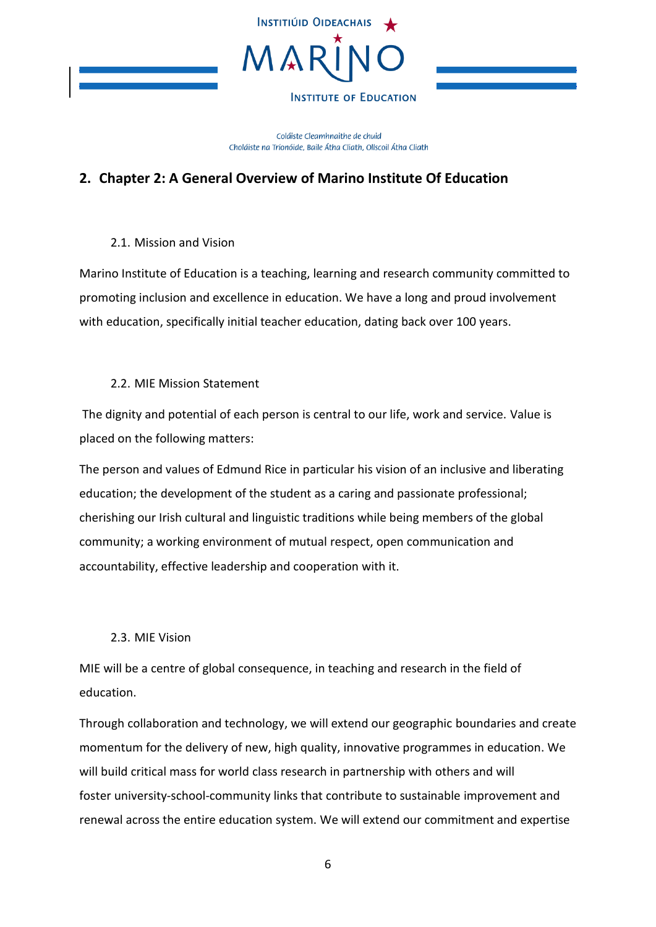

Coláiste Cleamhnaithe de chuid Choláiste na Tríonóide, Baile Átha Cliath, Ollscoil Átha Cliath

# <span id="page-5-0"></span>**2. Chapter 2: A General Overview of Marino Institute Of Education**

2.1. Mission and Vision

<span id="page-5-1"></span>Marino Institute of Education is a teaching, learning and research community committed to promoting inclusion and excellence in education. We have a long and proud involvement with education, specifically initial teacher education, dating back over 100 years.

### 2.2. MIE Mission Statement

<span id="page-5-2"></span>The dignity and potential of each person is central to our life, work and service. Value is placed on the following matters:

The person and values of Edmund Rice in particular his vision of an inclusive and liberating education; the development of the student as a caring and passionate professional; cherishing our Irish cultural and linguistic traditions while being members of the global community; a working environment of mutual respect, open communication and accountability, effective leadership and cooperation with it.

### 2.3. MIE Vision

<span id="page-5-3"></span>MIE will be a centre of global consequence, in teaching and research in the field of education.

Through collaboration and technology, we will extend our geographic boundaries and create momentum for the delivery of new, high quality, innovative programmes in education. We will build critical mass for world class research in partnership with others and will foster university-school-community links that contribute to sustainable improvement and renewal across the entire education system. We will extend our commitment and expertise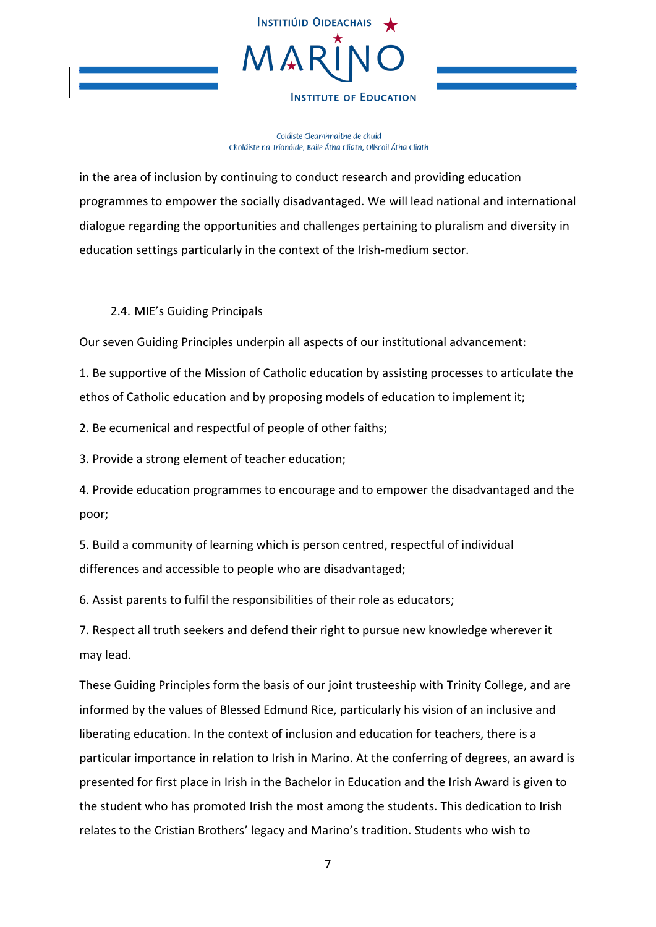

Coláiste Cleamhnaithe de chuid Choláiste na Tríonóide, Baile Átha Cliath, Ollscoil Átha Cliath

in the area of inclusion by continuing to conduct research and providing education programmes to empower the socially disadvantaged. We will lead national and international dialogue regarding the opportunities and challenges pertaining to pluralism and diversity in education settings particularly in the context of the Irish-medium sector.

### 2.4. MIE's Guiding Principals

<span id="page-6-0"></span>Our seven Guiding Principles underpin all aspects of our institutional advancement:

1. Be supportive of the Mission of Catholic education by assisting processes to articulate the ethos of Catholic education and by proposing models of education to implement it;

2. Be ecumenical and respectful of people of other faiths;

3. Provide a strong element of teacher education;

4. Provide education programmes to encourage and to empower the disadvantaged and the poor;

5. Build a community of learning which is person centred, respectful of individual differences and accessible to people who are disadvantaged;

6. Assist parents to fulfil the responsibilities of their role as educators;

7. Respect all truth seekers and defend their right to pursue new knowledge wherever it may lead.

These Guiding Principles form the basis of our joint trusteeship with Trinity College, and are informed by the values of Blessed Edmund Rice, particularly his vision of an inclusive and liberating education. In the context of inclusion and education for teachers, there is a particular importance in relation to Irish in Marino. At the conferring of degrees, an award is presented for first place in Irish in the Bachelor in Education and the Irish Award is given to the student who has promoted Irish the most among the students. This dedication to Irish relates to the Cristian Brothers' legacy and Marino's tradition. Students who wish to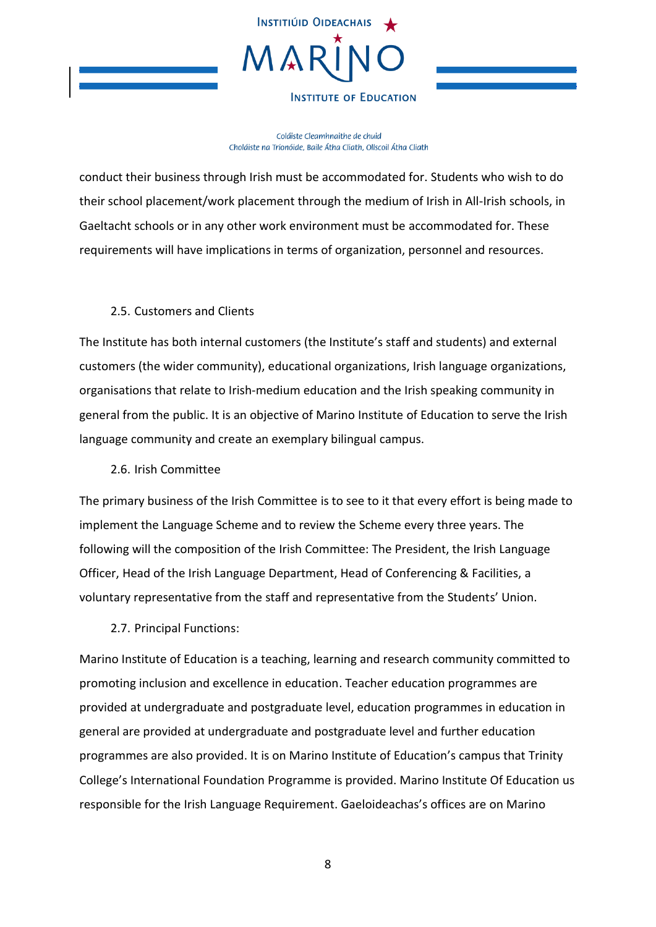

Coláiste Cleamhnaithe de chuid Choláiste na Tríonóide, Baile Átha Cliath, Ollscoil Átha Cliath

conduct their business through Irish must be accommodated for. Students who wish to do their school placement/work placement through the medium of Irish in All-Irish schools, in Gaeltacht schools or in any other work environment must be accommodated for. These requirements will have implications in terms of organization, personnel and resources.

### 2.5. Customers and Clients

<span id="page-7-0"></span>The Institute has both internal customers (the Institute's staff and students) and external customers (the wider community), educational organizations, Irish language organizations, organisations that relate to Irish-medium education and the Irish speaking community in general from the public. It is an objective of Marino Institute of Education to serve the Irish language community and create an exemplary bilingual campus.

2.6. Irish Committee

<span id="page-7-1"></span>The primary business of the Irish Committee is to see to it that every effort is being made to implement the Language Scheme and to review the Scheme every three years. The following will the composition of the Irish Committee: The President, the Irish Language Officer, Head of the Irish Language Department, Head of Conferencing & Facilities, a voluntary representative from the staff and representative from the Students' Union.

2.7. Principal Functions:

<span id="page-7-2"></span>Marino Institute of Education is a teaching, learning and research community committed to promoting inclusion and excellence in education. Teacher education programmes are provided at undergraduate and postgraduate level, education programmes in education in general are provided at undergraduate and postgraduate level and further education programmes are also provided. It is on Marino Institute of Education's campus that Trinity College's International Foundation Programme is provided. Marino Institute Of Education us responsible for the Irish Language Requirement. Gaeloideachas's offices are on Marino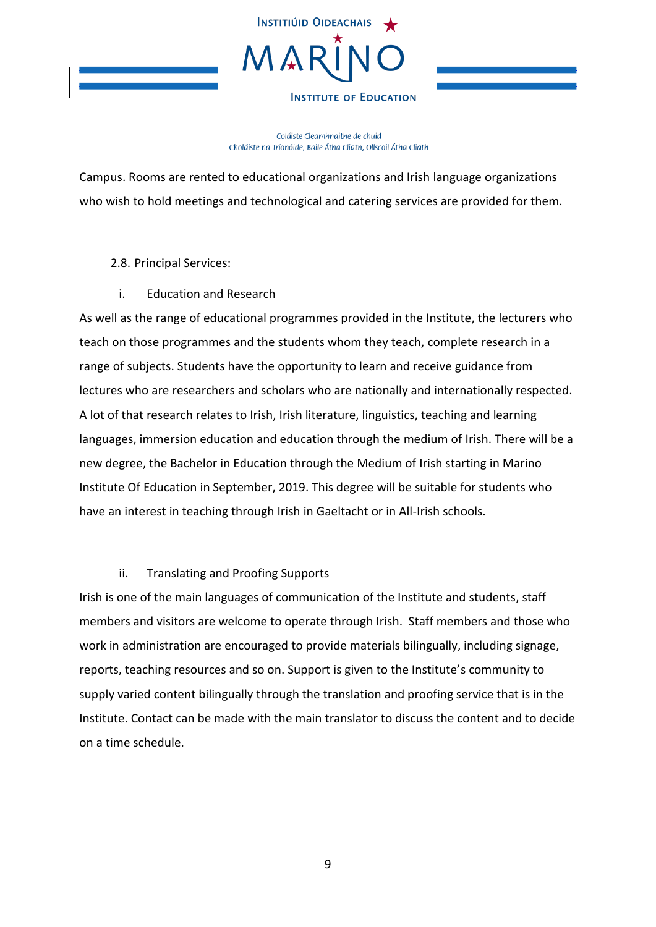

Coláiste Cleamhnaithe de chuid Choláiste na Tríonóide, Baile Átha Cliath, Ollscoil Átha Cliath

Campus. Rooms are rented to educational organizations and Irish language organizations who wish to hold meetings and technological and catering services are provided for them.

<span id="page-8-0"></span>2.8. Principal Services:

i. Education and Research

<span id="page-8-1"></span>As well as the range of educational programmes provided in the Institute, the lecturers who teach on those programmes and the students whom they teach, complete research in a range of subjects. Students have the opportunity to learn and receive guidance from lectures who are researchers and scholars who are nationally and internationally respected. A lot of that research relates to Irish, Irish literature, linguistics, teaching and learning languages, immersion education and education through the medium of Irish. There will be a new degree, the Bachelor in Education through the Medium of Irish starting in Marino Institute Of Education in September, 2019. This degree will be suitable for students who have an interest in teaching through Irish in Gaeltacht or in All-Irish schools.

### ii. Translating and Proofing Supports

<span id="page-8-2"></span>Irish is one of the main languages of communication of the Institute and students, staff members and visitors are welcome to operate through Irish. Staff members and those who work in administration are encouraged to provide materials bilingually, including signage, reports, teaching resources and so on. Support is given to the Institute's community to supply varied content bilingually through the translation and proofing service that is in the Institute. Contact can be made with the main translator to discuss the content and to decide on a time schedule.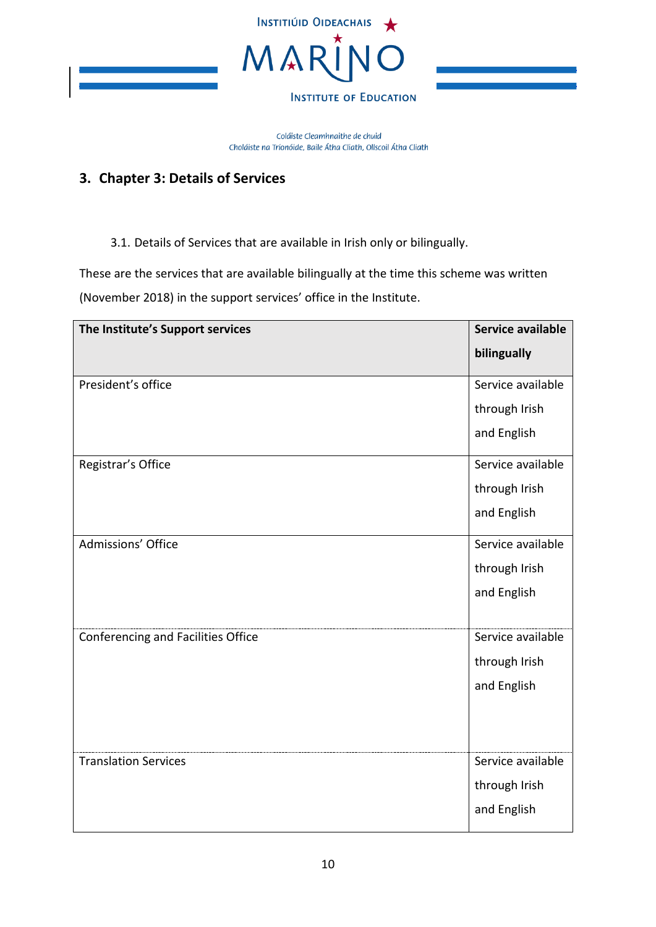

Coláiste Cleamhnaithe de chuid Choláiste na Tríonóide, Baile Átha Cliath, Ollscoil Átha Cliath

# <span id="page-9-0"></span>**3. Chapter 3: Details of Services**

3.1. Details of Services that are available in Irish only or bilingually.

<span id="page-9-1"></span>These are the services that are available bilingually at the time this scheme was written (November 2018) in the support services' office in the Institute.

| The Institute's Support services   | Service available |
|------------------------------------|-------------------|
|                                    | bilingually       |
| President's office                 | Service available |
|                                    | through Irish     |
|                                    | and English       |
| Registrar's Office                 | Service available |
|                                    | through Irish     |
|                                    | and English       |
| Admissions' Office                 | Service available |
|                                    | through Irish     |
|                                    | and English       |
|                                    |                   |
| Conferencing and Facilities Office | Service available |
|                                    | through Irish     |
|                                    | and English       |
|                                    |                   |
|                                    |                   |
| <b>Translation Services</b>        | Service available |
|                                    | through Irish     |
|                                    | and English       |
|                                    |                   |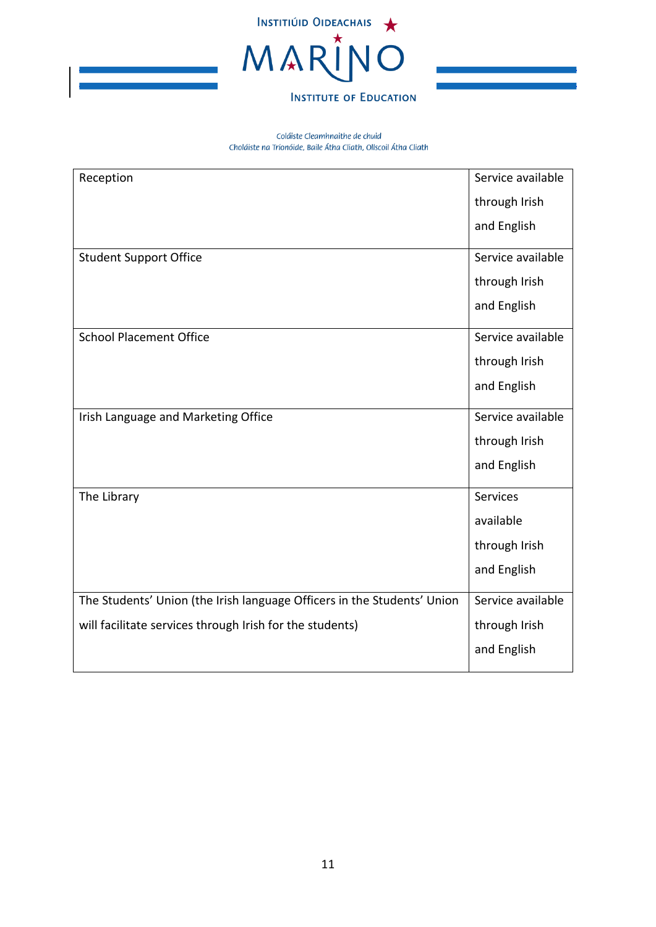

| Reception                                                               | Service available |
|-------------------------------------------------------------------------|-------------------|
|                                                                         | through Irish     |
|                                                                         | and English       |
| <b>Student Support Office</b>                                           | Service available |
|                                                                         | through Irish     |
|                                                                         | and English       |
| <b>School Placement Office</b>                                          | Service available |
|                                                                         | through Irish     |
|                                                                         | and English       |
| Irish Language and Marketing Office                                     | Service available |
|                                                                         | through Irish     |
|                                                                         | and English       |
| The Library                                                             | Services          |
|                                                                         | available         |
|                                                                         | through Irish     |
|                                                                         | and English       |
| The Students' Union (the Irish language Officers in the Students' Union | Service available |
| will facilitate services through Irish for the students)                | through Irish     |
|                                                                         | and English       |
|                                                                         |                   |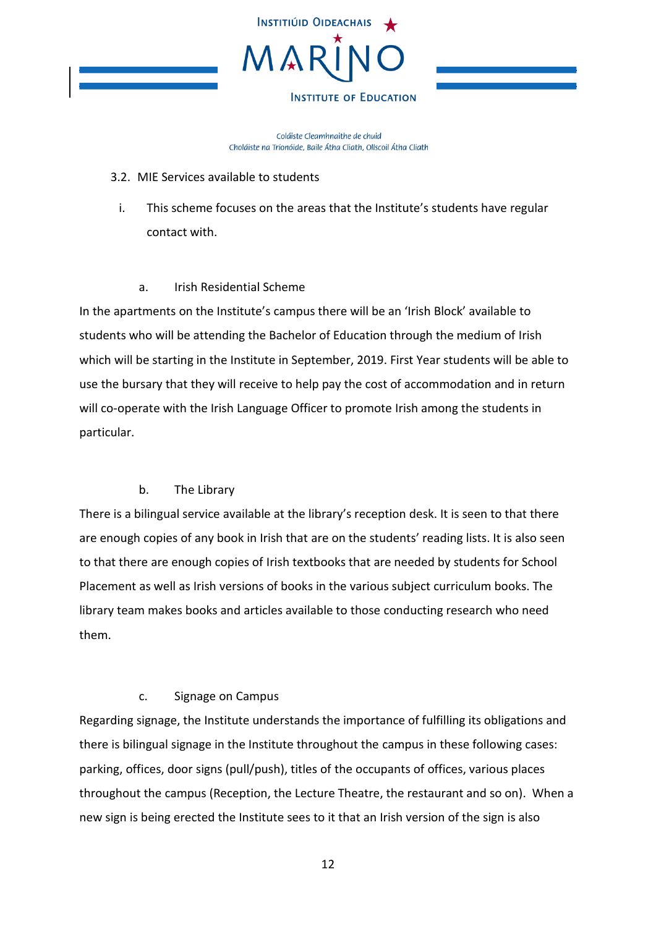

Coláiste Cleamhnaithe de chuid Choláiste na Tríonóide, Baile Átha Cliath, Ollscoil Átha Cliath

### <span id="page-11-0"></span>3.2. MIE Services available to students

<span id="page-11-1"></span>i. This scheme focuses on the areas that the Institute's students have regular contact with.

### a. Irish Residential Scheme

In the apartments on the Institute's campus there will be an 'Irish Block' available to students who will be attending the Bachelor of Education through the medium of Irish which will be starting in the Institute in September, 2019. First Year students will be able to use the bursary that they will receive to help pay the cost of accommodation and in return will co-operate with the Irish Language Officer to promote Irish among the students in particular.

### b. The Library

There is a bilingual service available at the library's reception desk. It is seen to that there are enough copies of any book in Irish that are on the students' reading lists. It is also seen to that there are enough copies of Irish textbooks that are needed by students for School Placement as well as Irish versions of books in the various subject curriculum books. The library team makes books and articles available to those conducting research who need them.

### c. Signage on Campus

Regarding signage, the Institute understands the importance of fulfilling its obligations and there is bilingual signage in the Institute throughout the campus in these following cases: parking, offices, door signs (pull/push), titles of the occupants of offices, various places throughout the campus (Reception, the Lecture Theatre, the restaurant and so on). When a new sign is being erected the Institute sees to it that an Irish version of the sign is also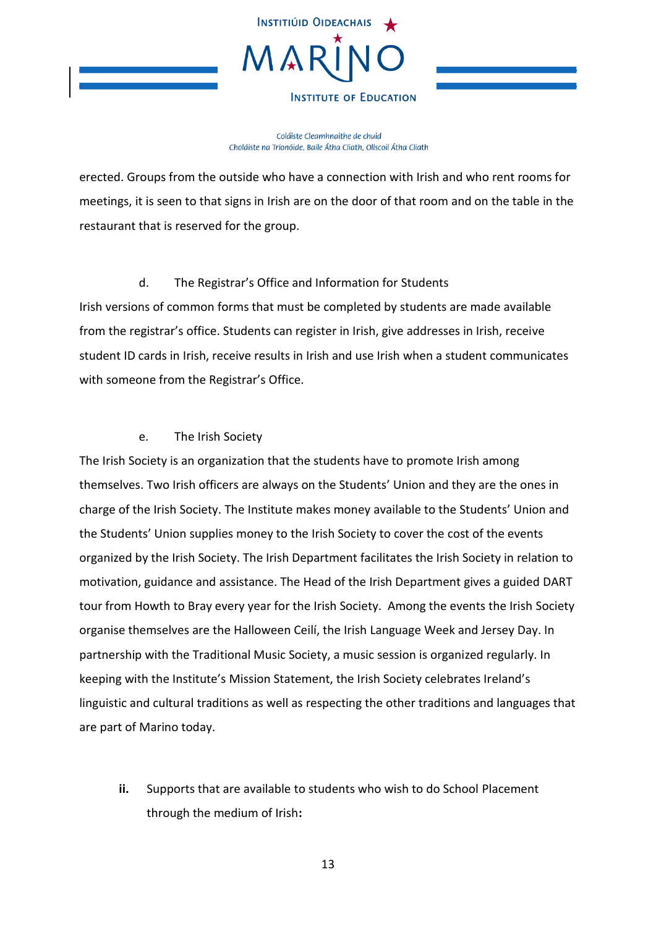

Coláiste Cleamhnaithe de chuid Choláiste na Tríonóide, Baile Átha Cliath, Ollscoil Átha Cliath

erected. Groups from the outside who have a connection with Irish and who rent rooms for meetings, it is seen to that signs in Irish are on the door of that room and on the table in the restaurant that is reserved for the group.

d. The Registrar's Office and Information for Students Irish versions of common forms that must be completed by students are made available from the registrar's office. Students can register in Irish, give addresses in Irish, receive student ID cards in Irish, receive results in Irish and use Irish when a student communicates with someone from the Registrar's Office.

### e. The Irish Society

The Irish Society is an organization that the students have to promote Irish among themselves. Two Irish officers are always on the Students' Union and they are the ones in charge of the Irish Society. The Institute makes money available to the Students' Union and the Students' Union supplies money to the Irish Society to cover the cost of the events organized by the Irish Society. The Irish Department facilitates the Irish Society in relation to motivation, guidance and assistance. The Head of the Irish Department gives a guided DART tour from Howth to Bray every year for the Irish Society. Among the events the Irish Society organise themselves are the Halloween Ceilí, the Irish Language Week and Jersey Day. In partnership with the Traditional Music Society, a music session is organized regularly. In keeping with the Institute's Mission Statement, the Irish Society celebrates Ireland's linguistic and cultural traditions as well as respecting the other traditions and languages that are part of Marino today.

<span id="page-12-0"></span>**ii.** Supports that are available to students who wish to do School Placement through the medium of Irish**:**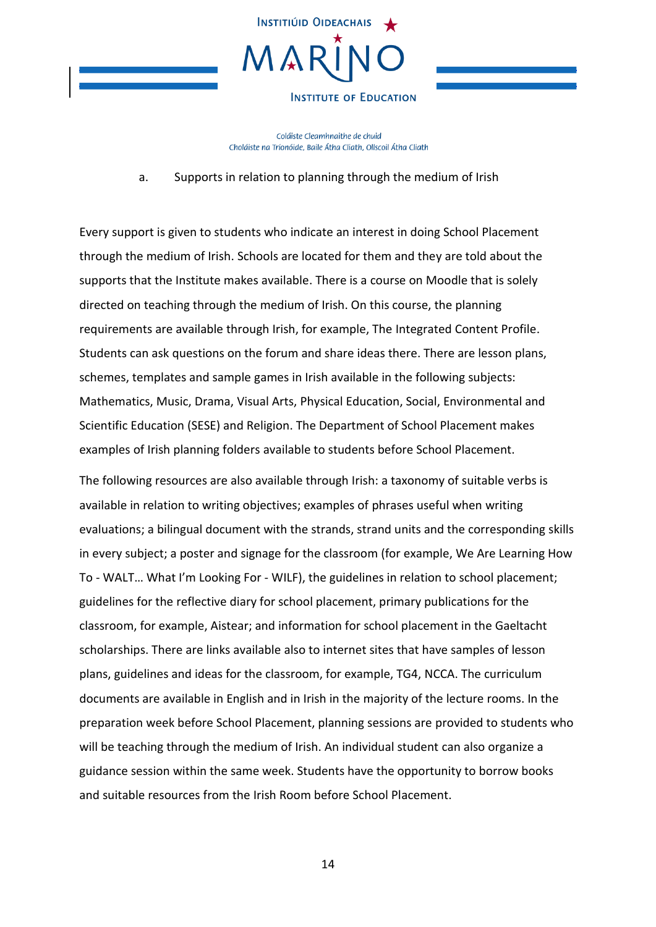

Coláiste Cleamhnaithe de chuid Choláiste na Tríonóide, Baile Átha Cliath, Ollscoil Átha Cliath

a. Supports in relation to planning through the medium of Irish

Every support is given to students who indicate an interest in doing School Placement through the medium of Irish. Schools are located for them and they are told about the supports that the Institute makes available. There is a course on Moodle that is solely directed on teaching through the medium of Irish. On this course, the planning requirements are available through Irish, for example, The Integrated Content Profile. Students can ask questions on the forum and share ideas there. There are lesson plans, schemes, templates and sample games in Irish available in the following subjects: Mathematics, Music, Drama, Visual Arts, Physical Education, Social, Environmental and Scientific Education (SESE) and Religion. The Department of School Placement makes examples of Irish planning folders available to students before School Placement.

The following resources are also available through Irish: a taxonomy of suitable verbs is available in relation to writing objectives; examples of phrases useful when writing evaluations; a bilingual document with the strands, strand units and the corresponding skills in every subject; a poster and signage for the classroom (for example, We Are Learning How To - WALT… What I'm Looking For - WILF), the guidelines in relation to school placement; guidelines for the reflective diary for school placement, primary publications for the classroom, for example, Aistear; and information for school placement in the Gaeltacht scholarships. There are links available also to internet sites that have samples of lesson plans, guidelines and ideas for the classroom, for example, TG4, NCCA. The curriculum documents are available in English and in Irish in the majority of the lecture rooms. In the preparation week before School Placement, planning sessions are provided to students who will be teaching through the medium of Irish. An individual student can also organize a guidance session within the same week. Students have the opportunity to borrow books and suitable resources from the Irish Room before School Placement.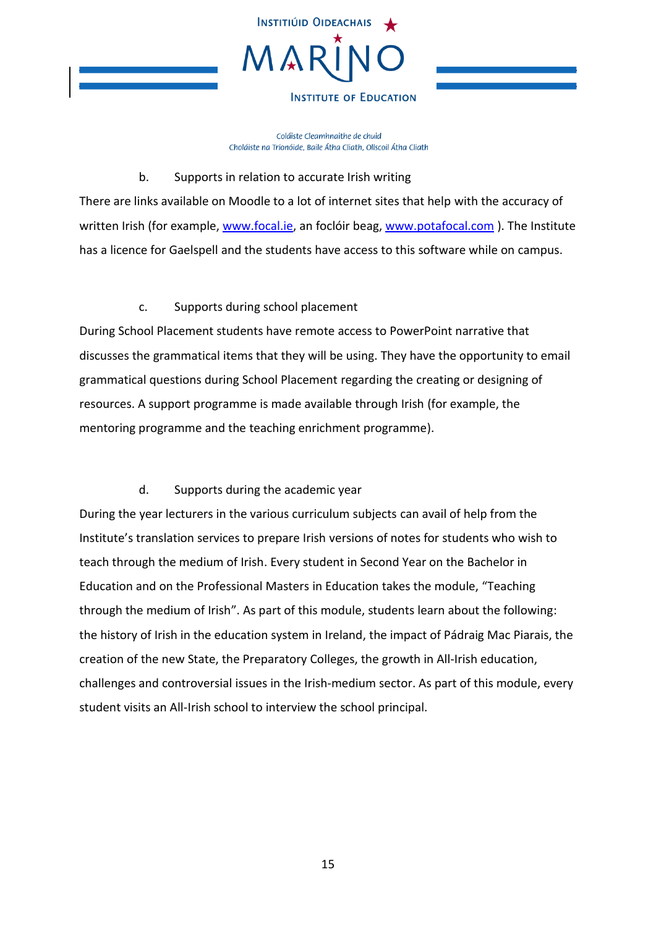

Coláiste Cleamhnaithe de chuid Choláiste na Tríonóide, Baile Átha Cliath, Ollscoil Átha Cliath

### b. Supports in relation to accurate Irish writing

There are links available on Moodle to a lot of internet sites that help with the accuracy of written Irish (for example, [www.focal.ie,](http://www.focal.ie/) an foclóir beag[, www.potafocal.com](http://www.potafocal.com/)). The Institute has a licence for Gaelspell and the students have access to this software while on campus.

## c. Supports during school placement

During School Placement students have remote access to PowerPoint narrative that discusses the grammatical items that they will be using. They have the opportunity to email grammatical questions during School Placement regarding the creating or designing of resources. A support programme is made available through Irish (for example, the mentoring programme and the teaching enrichment programme).

## d. Supports during the academic year

During the year lecturers in the various curriculum subjects can avail of help from the Institute's translation services to prepare Irish versions of notes for students who wish to teach through the medium of Irish. Every student in Second Year on the Bachelor in Education and on the Professional Masters in Education takes the module, "Teaching through the medium of Irish". As part of this module, students learn about the following: the history of Irish in the education system in Ireland, the impact of Pádraig Mac Piarais, the creation of the new State, the Preparatory Colleges, the growth in All-Irish education, challenges and controversial issues in the Irish-medium sector. As part of this module, every student visits an All-Irish school to interview the school principal.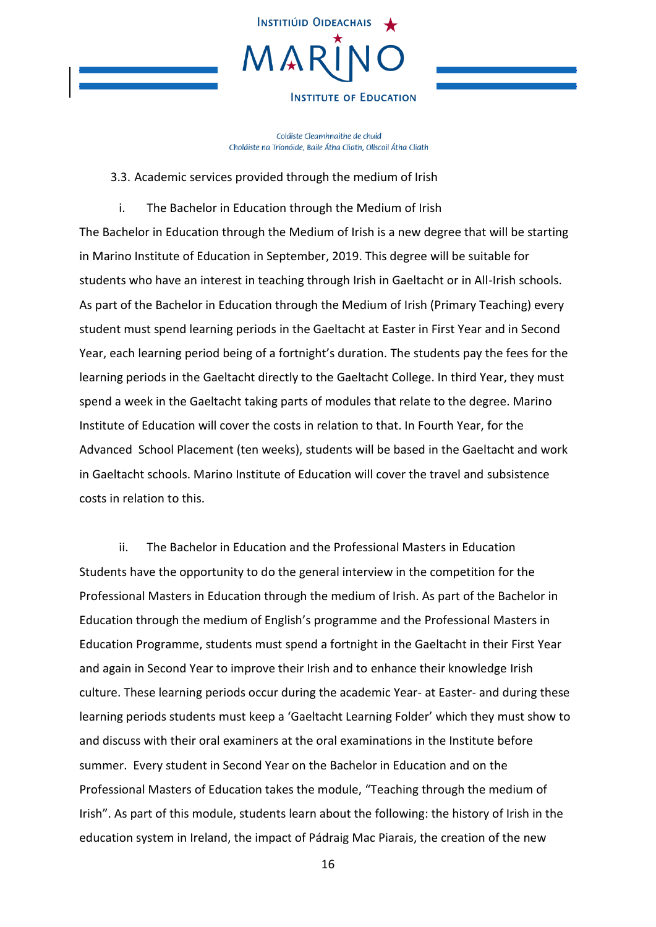

Coláiste Cleamhnaithe de chuid Choláiste na Tríonóide, Baile Átha Cliath, Ollscoil Átha Cliath

### 3.3. Academic services provided through the medium of Irish

<span id="page-15-1"></span><span id="page-15-0"></span>i. The Bachelor in Education through the Medium of Irish The Bachelor in Education through the Medium of Irish is a new degree that will be starting in Marino Institute of Education in September, 2019. This degree will be suitable for students who have an interest in teaching through Irish in Gaeltacht or in All-Irish schools. As part of the Bachelor in Education through the Medium of Irish (Primary Teaching) every student must spend learning periods in the Gaeltacht at Easter in First Year and in Second Year, each learning period being of a fortnight's duration. The students pay the fees for the learning periods in the Gaeltacht directly to the Gaeltacht College. In third Year, they must spend a week in the Gaeltacht taking parts of modules that relate to the degree. Marino Institute of Education will cover the costs in relation to that. In Fourth Year, for the Advanced School Placement (ten weeks), students will be based in the Gaeltacht and work in Gaeltacht schools. Marino Institute of Education will cover the travel and subsistence costs in relation to this.

<span id="page-15-2"></span>ii. The Bachelor in Education and the Professional Masters in Education Students have the opportunity to do the general interview in the competition for the Professional Masters in Education through the medium of Irish. As part of the Bachelor in Education through the medium of English's programme and the Professional Masters in Education Programme, students must spend a fortnight in the Gaeltacht in their First Year and again in Second Year to improve their Irish and to enhance their knowledge Irish culture. These learning periods occur during the academic Year- at Easter- and during these learning periods students must keep a 'Gaeltacht Learning Folder' which they must show to and discuss with their oral examiners at the oral examinations in the Institute before summer. Every student in Second Year on the Bachelor in Education and on the Professional Masters of Education takes the module, "Teaching through the medium of Irish". As part of this module, students learn about the following: the history of Irish in the education system in Ireland, the impact of Pádraig Mac Piarais, the creation of the new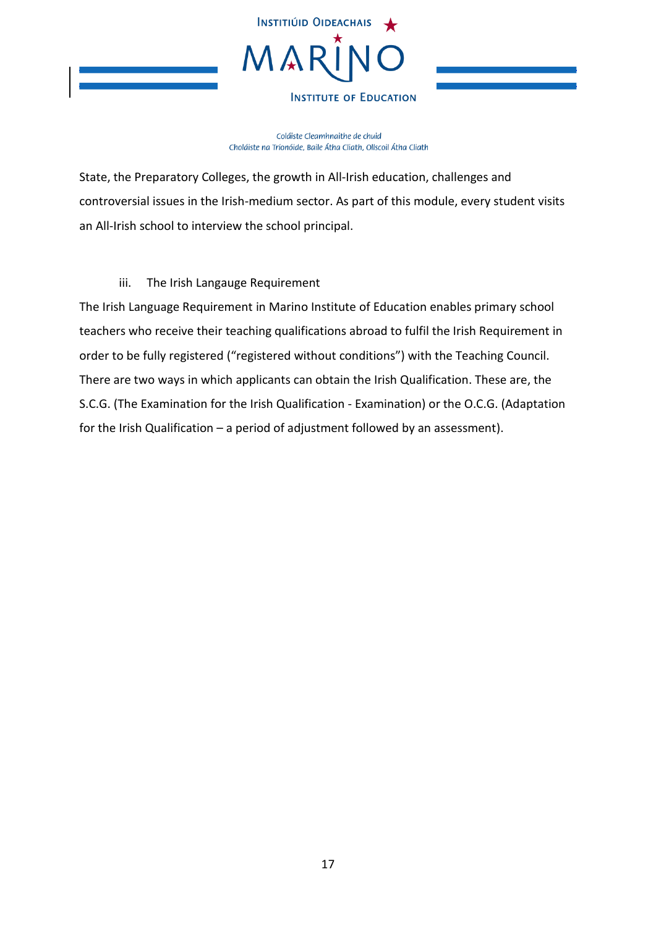

Coláiste Cleamhnaithe de chuid Choláiste na Tríonóide, Baile Átha Cliath, Ollscoil Átha Cliath

State, the Preparatory Colleges, the growth in All-Irish education, challenges and controversial issues in the Irish-medium sector. As part of this module, every student visits an All-Irish school to interview the school principal.

### iii. The Irish Langauge Requirement

<span id="page-16-0"></span>The Irish Language Requirement in Marino Institute of Education enables primary school teachers who receive their teaching qualifications abroad to fulfil the Irish Requirement in order to be fully registered ("registered without conditions") with the Teaching Council. There are two ways in which applicants can obtain the Irish Qualification. These are, the S.C.G. (The Examination for the Irish Qualification - Examination) or the O.C.G. (Adaptation for the Irish Qualification – a period of adjustment followed by an assessment).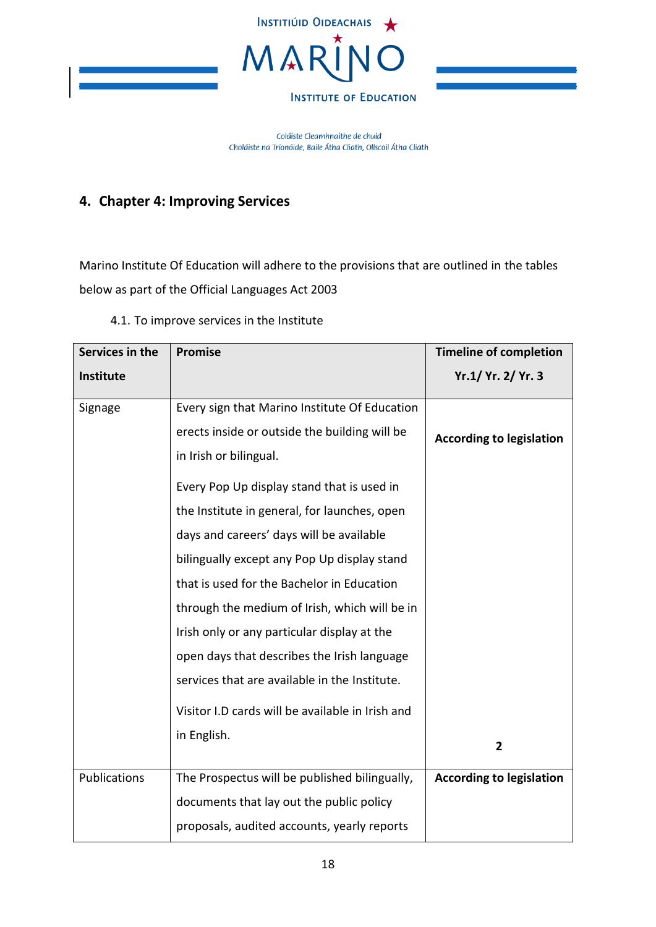

Coláiste Cleamhnaithe de chuid Choláiste na Tríonóide, Baile Átha Cliath, Ollscoil Átha Cliath

# <span id="page-17-0"></span>**4. Chapter 4: Improving Services**

Marino Institute Of Education will adhere to the provisions that are outlined in the tables below as part of the Official Languages Act 2003

<span id="page-17-1"></span>

| Services in the     | <b>Promise</b>                                   | <b>Timeline of completion</b>   |
|---------------------|--------------------------------------------------|---------------------------------|
| Institute           |                                                  | Yr.1/ Yr. 2/ Yr. 3              |
| Signage             | Every sign that Marino Institute Of Education    |                                 |
|                     | erects inside or outside the building will be    | <b>According to legislation</b> |
|                     | in Irish or bilingual.                           |                                 |
|                     | Every Pop Up display stand that is used in       |                                 |
|                     | the Institute in general, for launches, open     |                                 |
|                     | days and careers' days will be available         |                                 |
|                     | bilingually except any Pop Up display stand      |                                 |
|                     | that is used for the Bachelor in Education       |                                 |
|                     | through the medium of Irish, which will be in    |                                 |
|                     | Irish only or any particular display at the      |                                 |
|                     | open days that describes the Irish language      |                                 |
|                     | services that are available in the Institute.    |                                 |
|                     | Visitor I.D cards will be available in Irish and |                                 |
|                     | in English.                                      | $\overline{2}$                  |
|                     |                                                  |                                 |
| <b>Publications</b> | The Prospectus will be published bilingually,    | <b>According to legislation</b> |
|                     | documents that lay out the public policy         |                                 |
|                     | proposals, audited accounts, yearly reports      |                                 |

### 4.1. To improve services in the Institute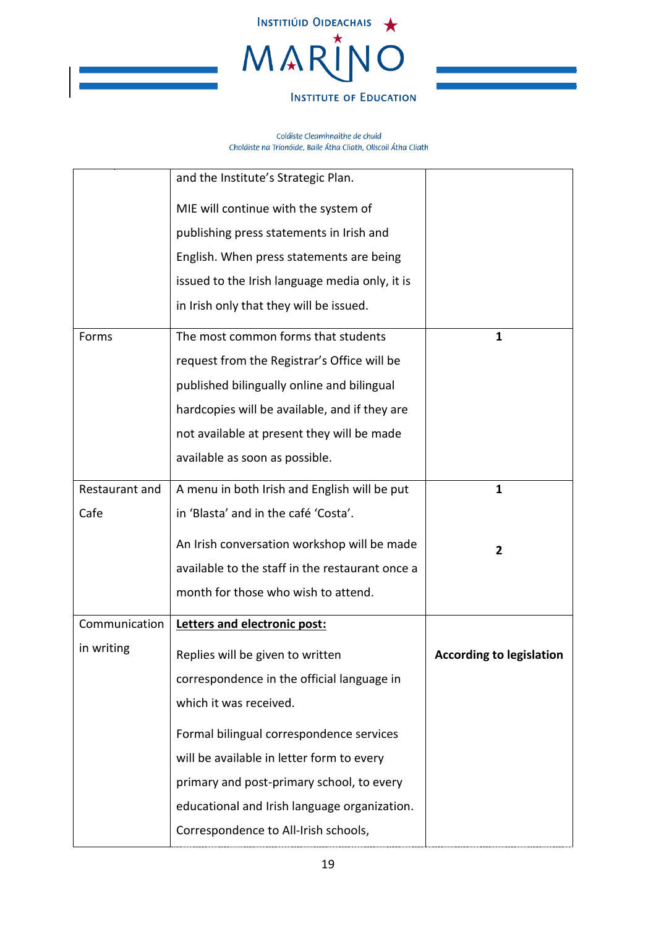

|                | and the Institute's Strategic Plan.             |                                 |
|----------------|-------------------------------------------------|---------------------------------|
|                | MIE will continue with the system of            |                                 |
|                | publishing press statements in Irish and        |                                 |
|                | English. When press statements are being        |                                 |
|                | issued to the Irish language media only, it is  |                                 |
|                | in Irish only that they will be issued.         |                                 |
| Forms          | The most common forms that students             | 1                               |
|                | request from the Registrar's Office will be     |                                 |
|                | published bilingually online and bilingual      |                                 |
|                | hardcopies will be available, and if they are   |                                 |
|                | not available at present they will be made      |                                 |
|                | available as soon as possible.                  |                                 |
| Restaurant and | A menu in both Irish and English will be put    | $\mathbf{1}$                    |
| Cafe           | in 'Blasta' and in the café 'Costa'.            |                                 |
|                | An Irish conversation workshop will be made     | $\overline{2}$                  |
|                | available to the staff in the restaurant once a |                                 |
|                | month for those who wish to attend.             |                                 |
| Communication  | Letters and electronic post:                    |                                 |
| in writing     | Replies will be given to written                | <b>According to legislation</b> |
|                | correspondence in the official language in      |                                 |
|                | which it was received.                          |                                 |
|                | Formal bilingual correspondence services        |                                 |
|                | will be available in letter form to every       |                                 |
|                | primary and post-primary school, to every       |                                 |
|                | educational and Irish language organization.    |                                 |
|                | Correspondence to All-Irish schools,            |                                 |
|                |                                                 |                                 |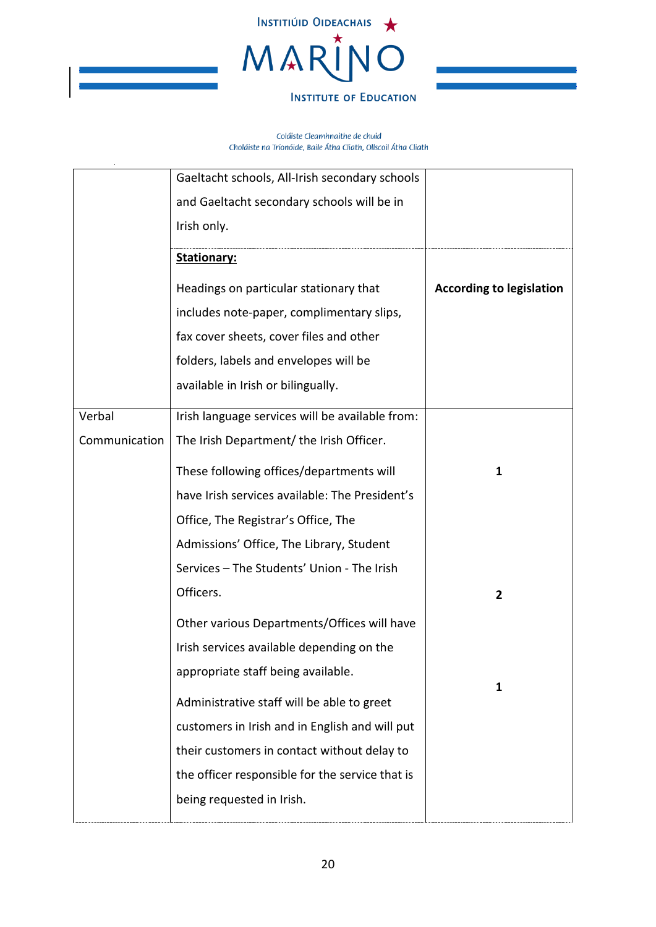

|               | Gaeltacht schools, All-Irish secondary schools  |                                 |
|---------------|-------------------------------------------------|---------------------------------|
|               | and Gaeltacht secondary schools will be in      |                                 |
|               | Irish only.                                     |                                 |
|               | <b>Stationary:</b>                              |                                 |
|               | Headings on particular stationary that          | <b>According to legislation</b> |
|               | includes note-paper, complimentary slips,       |                                 |
|               | fax cover sheets, cover files and other         |                                 |
|               | folders, labels and envelopes will be           |                                 |
|               | available in Irish or bilingually.              |                                 |
| Verbal        | Irish language services will be available from: |                                 |
| Communication | The Irish Department/ the Irish Officer.        |                                 |
|               | These following offices/departments will        | $\mathbf 1$                     |
|               | have Irish services available: The President's  |                                 |
|               | Office, The Registrar's Office, The             |                                 |
|               | Admissions' Office, The Library, Student        |                                 |
|               | Services - The Students' Union - The Irish      |                                 |
|               | Officers.                                       | $\mathbf{2}$                    |
|               | Other various Departments/Offices will have     |                                 |
|               | Irish services available depending on the       |                                 |
|               | appropriate staff being available.              | 1                               |
|               | Administrative staff will be able to greet      |                                 |
|               | customers in Irish and in English and will put  |                                 |
|               | their customers in contact without delay to     |                                 |
|               | the officer responsible for the service that is |                                 |
|               | being requested in Irish.                       |                                 |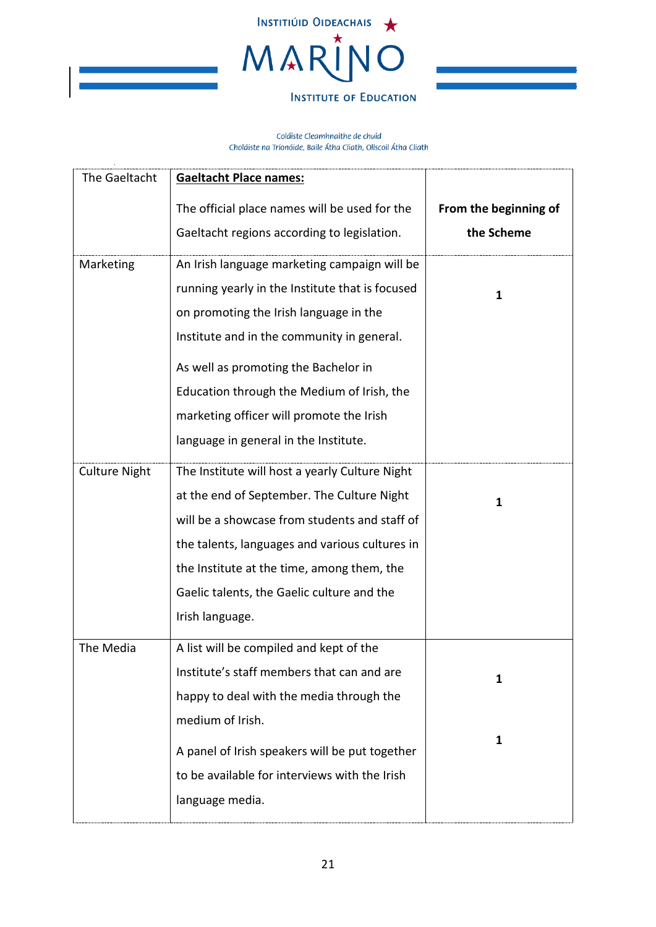

| From the beginning of |
|-----------------------|
| the Scheme            |
|                       |
|                       |
|                       |
|                       |
|                       |
|                       |
|                       |
|                       |
|                       |
|                       |
|                       |
|                       |
|                       |
|                       |
|                       |
|                       |
|                       |
|                       |
|                       |
|                       |
|                       |
|                       |
|                       |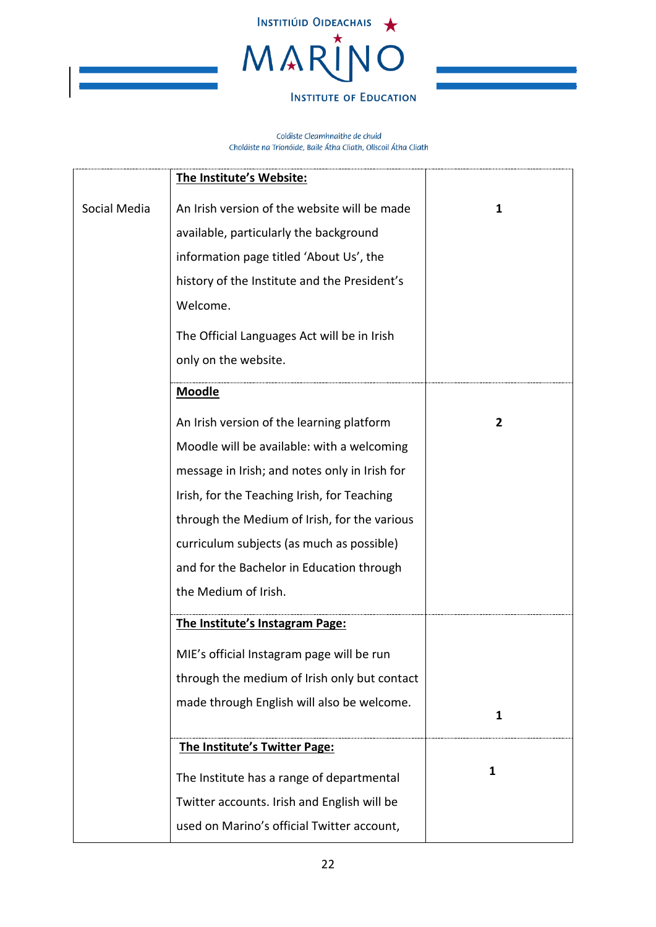

|              | The Institute's Website:                      |                |
|--------------|-----------------------------------------------|----------------|
| Social Media | An Irish version of the website will be made  | $\mathbf{1}$   |
|              | available, particularly the background        |                |
|              | information page titled 'About Us', the       |                |
|              | history of the Institute and the President's  |                |
|              | Welcome.                                      |                |
|              | The Official Languages Act will be in Irish   |                |
|              | only on the website.                          |                |
|              | <b>Moodle</b>                                 |                |
|              |                                               |                |
|              | An Irish version of the learning platform     | $\overline{2}$ |
|              | Moodle will be available: with a welcoming    |                |
|              | message in Irish; and notes only in Irish for |                |
|              | Irish, for the Teaching Irish, for Teaching   |                |
|              | through the Medium of Irish, for the various  |                |
|              | curriculum subjects (as much as possible)     |                |
|              | and for the Bachelor in Education through     |                |
|              | the Medium of Irish.                          |                |
|              | The Institute's Instagram Page:               |                |
|              | MIE's official Instagram page will be run     |                |
|              | through the medium of Irish only but contact  |                |
|              | made through English will also be welcome.    |                |
|              |                                               | $\mathbf{1}$   |
|              | The Institute's Twitter Page:                 |                |
|              | The Institute has a range of departmental     | $\mathbf{1}$   |
|              | Twitter accounts. Irish and English will be   |                |
|              | used on Marino's official Twitter account,    |                |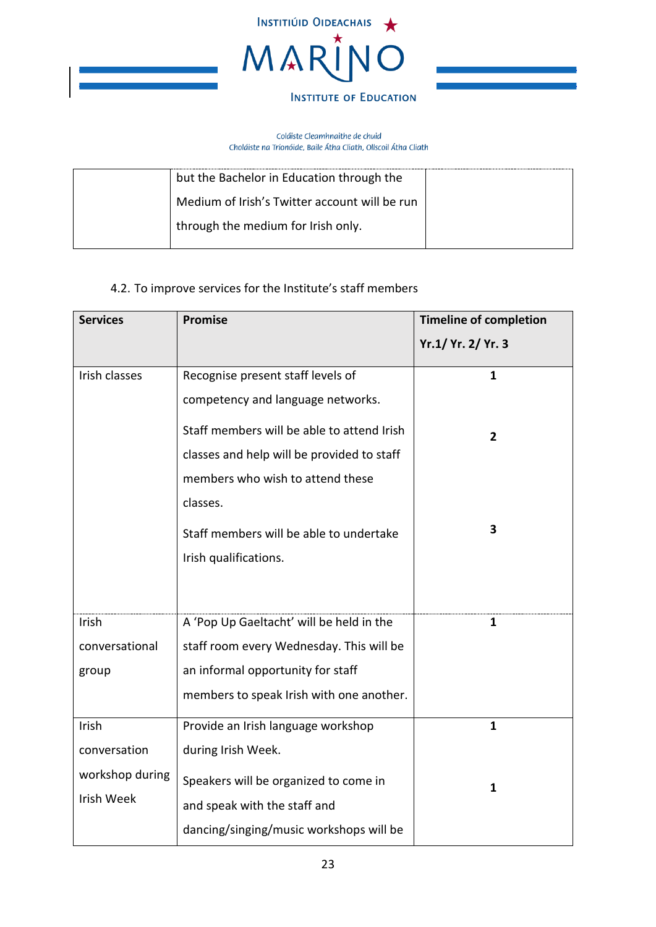

#### Coláiste Cleamhnaithe de chuid Choláiste na Tríonóide, Baile Átha Cliath, Ollscoil Átha Cliath

| but the Bachelor in Education through the     |  |
|-----------------------------------------------|--|
| Medium of Irish's Twitter account will be run |  |
| through the medium for Irish only.            |  |

# 4.2. To improve services for the Institute's staff members

<span id="page-22-0"></span>

| <b>Services</b>   | <b>Promise</b>                             | <b>Timeline of completion</b> |
|-------------------|--------------------------------------------|-------------------------------|
|                   |                                            | Yr.1/ Yr. 2/ Yr. 3            |
| Irish classes     | Recognise present staff levels of          | $\mathbf{1}$                  |
|                   | competency and language networks.          |                               |
|                   | Staff members will be able to attend Irish | $\overline{2}$                |
|                   | classes and help will be provided to staff |                               |
|                   | members who wish to attend these           |                               |
|                   | classes.                                   |                               |
|                   | Staff members will be able to undertake    | 3                             |
|                   | Irish qualifications.                      |                               |
|                   |                                            |                               |
| Irish             | A 'Pop Up Gaeltacht' will be held in the   | $\mathbf{1}$                  |
| conversational    | staff room every Wednesday. This will be   |                               |
| group             | an informal opportunity for staff          |                               |
|                   | members to speak Irish with one another.   |                               |
| Irish             | Provide an Irish language workshop         | $\mathbf{1}$                  |
| conversation      | during Irish Week.                         |                               |
| workshop during   | Speakers will be organized to come in      | 1                             |
| <b>Irish Week</b> | and speak with the staff and               |                               |
|                   | dancing/singing/music workshops will be    |                               |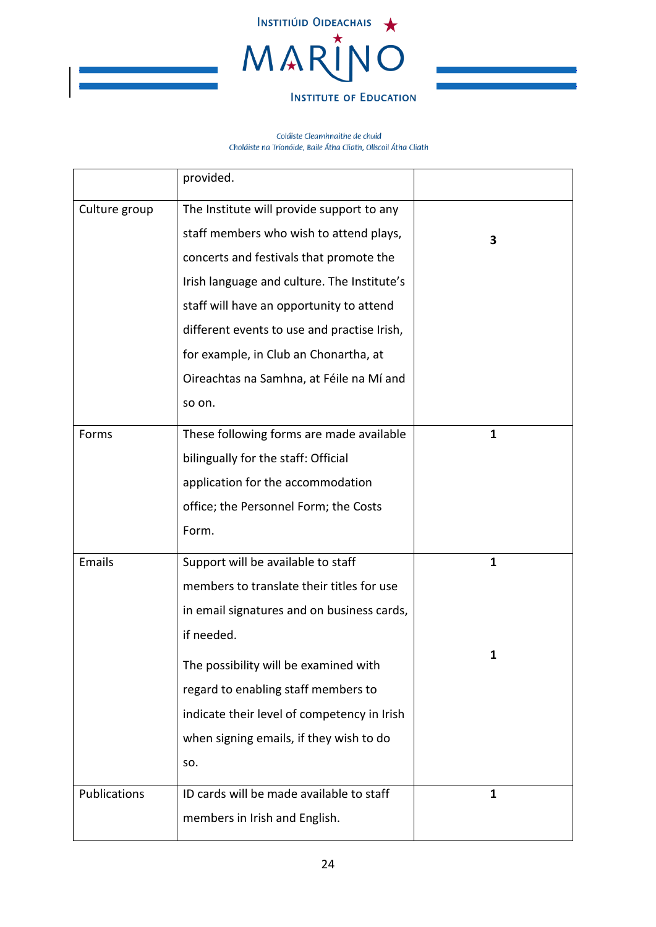

|               | provided.                                   |              |
|---------------|---------------------------------------------|--------------|
| Culture group | The Institute will provide support to any   |              |
|               | staff members who wish to attend plays,     | 3            |
|               | concerts and festivals that promote the     |              |
|               | Irish language and culture. The Institute's |              |
|               | staff will have an opportunity to attend    |              |
|               | different events to use and practise Irish, |              |
|               | for example, in Club an Chonartha, at       |              |
|               | Oireachtas na Samhna, at Féile na Mí and    |              |
|               | so on.                                      |              |
| Forms         | These following forms are made available    | 1            |
|               | bilingually for the staff: Official         |              |
|               | application for the accommodation           |              |
|               | office; the Personnel Form; the Costs       |              |
|               | Form.                                       |              |
| Emails        | Support will be available to staff          | $\mathbf{1}$ |
|               | members to translate their titles for use   |              |
|               | in email signatures and on business cards,  |              |
|               | if needed.                                  |              |
|               | The possibility will be examined with       | 1            |
|               | regard to enabling staff members to         |              |
|               | indicate their level of competency in Irish |              |
|               | when signing emails, if they wish to do     |              |
|               | SO.                                         |              |
| Publications  | ID cards will be made available to staff    | 1            |
|               | members in Irish and English.               |              |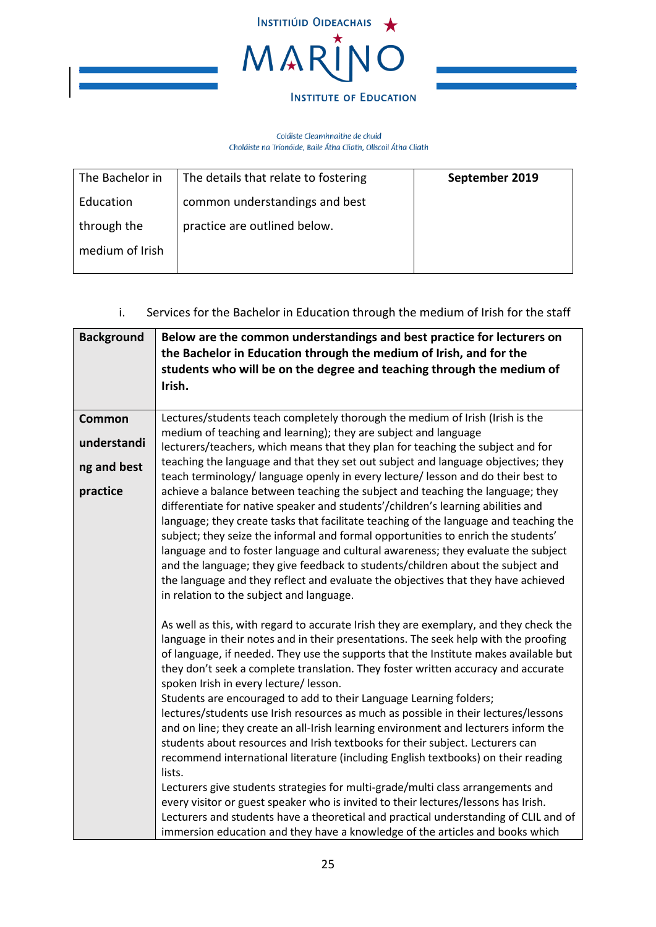

#### Coláiste Cleamhnaithe de chuid Choláiste na Tríonóide, Baile Átha Cliath, Ollscoil Átha Cliath

| The Bachelor in | The details that relate to fostering | September 2019 |
|-----------------|--------------------------------------|----------------|
| Education       | common understandings and best       |                |
| through the     | practice are outlined below.         |                |
| medium of Irish |                                      |                |
|                 |                                      |                |

# i. Services for the Bachelor in Education through the medium of Irish for the staff

<span id="page-24-0"></span>

| <b>Background</b> | Below are the common understandings and best practice for lecturers on<br>the Bachelor in Education through the medium of Irish, and for the<br>students who will be on the degree and teaching through the medium of<br>Irish.                                                                                                                                                                                                                                                                                                                                                                                                                                                                                                                                                                                                                                                                                            |
|-------------------|----------------------------------------------------------------------------------------------------------------------------------------------------------------------------------------------------------------------------------------------------------------------------------------------------------------------------------------------------------------------------------------------------------------------------------------------------------------------------------------------------------------------------------------------------------------------------------------------------------------------------------------------------------------------------------------------------------------------------------------------------------------------------------------------------------------------------------------------------------------------------------------------------------------------------|
| Common            | Lectures/students teach completely thorough the medium of Irish (Irish is the                                                                                                                                                                                                                                                                                                                                                                                                                                                                                                                                                                                                                                                                                                                                                                                                                                              |
| understandi       | medium of teaching and learning); they are subject and language<br>lecturers/teachers, which means that they plan for teaching the subject and for                                                                                                                                                                                                                                                                                                                                                                                                                                                                                                                                                                                                                                                                                                                                                                         |
| ng and best       | teaching the language and that they set out subject and language objectives; they<br>teach terminology/language openly in every lecture/lesson and do their best to                                                                                                                                                                                                                                                                                                                                                                                                                                                                                                                                                                                                                                                                                                                                                        |
| practice          | achieve a balance between teaching the subject and teaching the language; they<br>differentiate for native speaker and students'/children's learning abilities and<br>language; they create tasks that facilitate teaching of the language and teaching the<br>subject; they seize the informal and formal opportunities to enrich the students'<br>language and to foster language and cultural awareness; they evaluate the subject<br>and the language; they give feedback to students/children about the subject and<br>the language and they reflect and evaluate the objectives that they have achieved<br>in relation to the subject and language.                                                                                                                                                                                                                                                                  |
|                   | As well as this, with regard to accurate Irish they are exemplary, and they check the<br>language in their notes and in their presentations. The seek help with the proofing<br>of language, if needed. They use the supports that the Institute makes available but<br>they don't seek a complete translation. They foster written accuracy and accurate<br>spoken Irish in every lecture/ lesson.<br>Students are encouraged to add to their Language Learning folders;<br>lectures/students use Irish resources as much as possible in their lectures/lessons<br>and on line; they create an all-Irish learning environment and lecturers inform the<br>students about resources and Irish textbooks for their subject. Lecturers can<br>recommend international literature (including English textbooks) on their reading<br>lists.<br>Lecturers give students strategies for multi-grade/multi class arrangements and |
|                   | every visitor or guest speaker who is invited to their lectures/lessons has Irish.<br>Lecturers and students have a theoretical and practical understanding of CLIL and of<br>immersion education and they have a knowledge of the articles and books which                                                                                                                                                                                                                                                                                                                                                                                                                                                                                                                                                                                                                                                                |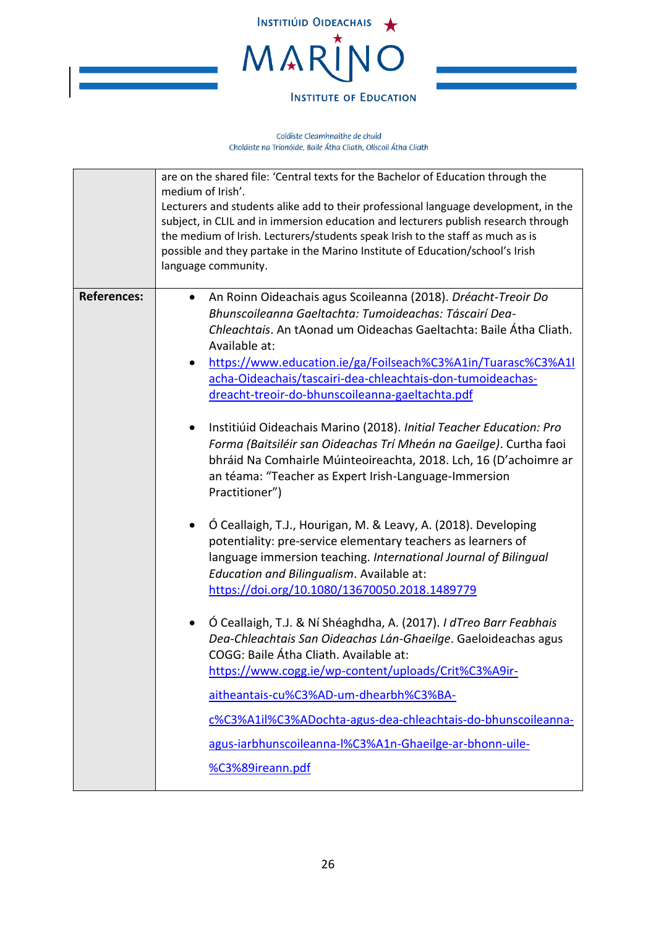

|                    | are on the shared file: 'Central texts for the Bachelor of Education through the<br>medium of Irish'.<br>Lecturers and students alike add to their professional language development, in the<br>subject, in CLIL and in immersion education and lecturers publish research through<br>the medium of Irish. Lecturers/students speak Irish to the staff as much as is<br>possible and they partake in the Marino Institute of Education/school's Irish<br>language community.                                                                                                                                                                                                                                                                                                                                                                                                                                                                                                                                                                                                                                                                                                                                                                                                                                                                                                                                                                                 |
|--------------------|--------------------------------------------------------------------------------------------------------------------------------------------------------------------------------------------------------------------------------------------------------------------------------------------------------------------------------------------------------------------------------------------------------------------------------------------------------------------------------------------------------------------------------------------------------------------------------------------------------------------------------------------------------------------------------------------------------------------------------------------------------------------------------------------------------------------------------------------------------------------------------------------------------------------------------------------------------------------------------------------------------------------------------------------------------------------------------------------------------------------------------------------------------------------------------------------------------------------------------------------------------------------------------------------------------------------------------------------------------------------------------------------------------------------------------------------------------------|
| <b>References:</b> | An Roinn Oideachais agus Scoileanna (2018). Dréacht-Treoir Do<br>Bhunscoileanna Gaeltachta: Tumoideachas: Táscairí Dea-<br>Chleachtais. An tAonad um Oideachas Gaeltachta: Baile Átha Cliath.<br>Available at:<br>https://www.education.ie/ga/Foilseach%C3%A1in/Tuarasc%C3%A1l<br>$\bullet$<br>acha-Oideachais/tascairi-dea-chleachtais-don-tumoideachas-<br>dreacht-treoir-do-bhunscoileanna-gaeltachta.pdf<br>Institiúid Oideachais Marino (2018). Initial Teacher Education: Pro<br>$\bullet$<br>Forma (Baitsiléir san Oideachas Trí Mheán na Gaeilge). Curtha faoi<br>bhráid Na Comhairle Múinteoireachta, 2018. Lch, 16 (D'achoimre ar<br>an téama: "Teacher as Expert Irish-Language-Immersion<br>Practitioner")<br>Ó Ceallaigh, T.J., Hourigan, M. & Leavy, A. (2018). Developing<br>potentiality: pre-service elementary teachers as learners of<br>language immersion teaching. International Journal of Bilingual<br>Education and Bilingualism. Available at:<br>https://doi.org/10.1080/13670050.2018.1489779<br>Ó Ceallaigh, T.J. & Ní Shéaghdha, A. (2017). I dTreo Barr Feabhais<br>Dea-Chleachtais San Oideachas Lán-Ghaeilge. Gaeloideachas agus<br>COGG: Baile Átha Cliath. Available at:<br>https://www.cogg.ie/wp-content/uploads/Crit%C3%A9ir-<br>aitheantais-cu%C3%AD-um-dhearbh%C3%BA-<br>c%C3%A1il%C3%ADochta-agus-dea-chleachtais-do-bhunscoileanna-<br>agus-iarbhunscoileanna-l%C3%A1n-Ghaeilge-ar-bhonn-uile-<br>%C3%89ireann.pdf |
|                    |                                                                                                                                                                                                                                                                                                                                                                                                                                                                                                                                                                                                                                                                                                                                                                                                                                                                                                                                                                                                                                                                                                                                                                                                                                                                                                                                                                                                                                                              |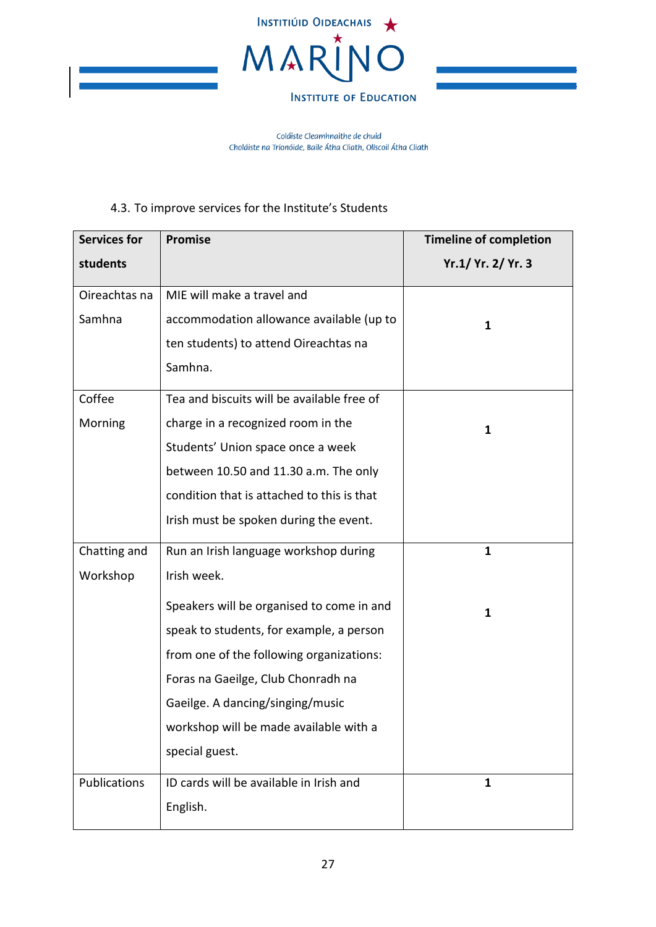

Coláiste Cleamhnaithe de chuid Choláiste na Tríonóide, Baile Átha Cliath, Ollscoil Átha Cliath

## 4.3. To improve services for the Institute's Students

<span id="page-26-0"></span>

| <b>Services for</b> | <b>Promise</b>                             | <b>Timeline of completion</b> |
|---------------------|--------------------------------------------|-------------------------------|
| students            |                                            | Yr.1/ Yr. 2/ Yr. 3            |
| Oireachtas na       | MIE will make a travel and                 |                               |
| Samhna              | accommodation allowance available (up to   | 1                             |
|                     | ten students) to attend Oireachtas na      |                               |
|                     | Samhna.                                    |                               |
| Coffee              | Tea and biscuits will be available free of |                               |
| Morning             | charge in a recognized room in the         | 1                             |
|                     | Students' Union space once a week          |                               |
|                     | between 10.50 and 11.30 a.m. The only      |                               |
|                     | condition that is attached to this is that |                               |
|                     | Irish must be spoken during the event.     |                               |
| Chatting and        | Run an Irish language workshop during      | $\mathbf{1}$                  |
| Workshop            | Irish week.                                |                               |
|                     | Speakers will be organised to come in and  | 1                             |
|                     | speak to students, for example, a person   |                               |
|                     | from one of the following organizations:   |                               |
|                     | Foras na Gaeilge, Club Chonradh na         |                               |
|                     | Gaeilge. A dancing/singing/music           |                               |
|                     | workshop will be made available with a     |                               |
|                     | special guest.                             |                               |
| Publications        | ID cards will be available in Irish and    | 1                             |
|                     | English.                                   |                               |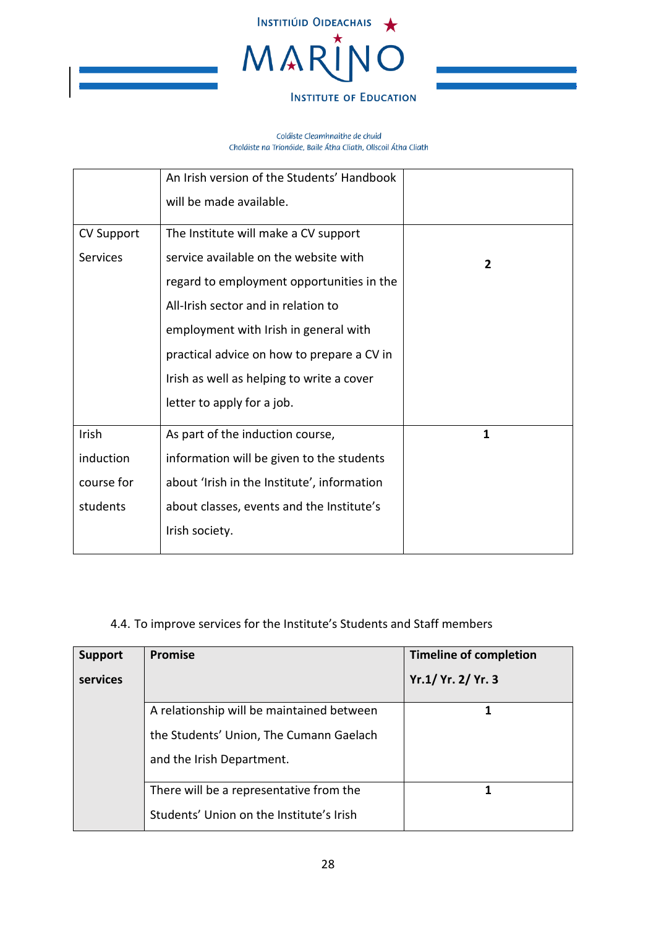

Coláiste Cleamhnaithe de chuid Choláiste na Tríonóide, Baile Átha Cliath, Ollscoil Átha Cliath

|                   | An Irish version of the Students' Handbook  |   |
|-------------------|---------------------------------------------|---|
|                   | will be made available.                     |   |
| <b>CV Support</b> | The Institute will make a CV support        |   |
| <b>Services</b>   | service available on the website with       | 2 |
|                   | regard to employment opportunities in the   |   |
|                   | All-Irish sector and in relation to         |   |
|                   | employment with Irish in general with       |   |
|                   | practical advice on how to prepare a CV in  |   |
|                   | Irish as well as helping to write a cover   |   |
|                   | letter to apply for a job.                  |   |
| Irish             | As part of the induction course,            | 1 |
| induction         | information will be given to the students   |   |
| course for        | about 'Irish in the Institute', information |   |
| students          | about classes, events and the Institute's   |   |
|                   | Irish society.                              |   |
|                   |                                             |   |

# 4.4. To improve services for the Institute's Students and Staff members

<span id="page-27-0"></span>

| <b>Support</b> | <b>Promise</b>                            | <b>Timeline of completion</b> |
|----------------|-------------------------------------------|-------------------------------|
| services       |                                           | Yr.1/ Yr. 2/ Yr. 3            |
|                | A relationship will be maintained between |                               |
|                | the Students' Union, The Cumann Gaelach   |                               |
|                | and the Irish Department.                 |                               |
|                | There will be a representative from the   |                               |
|                | Students' Union on the Institute's Irish  |                               |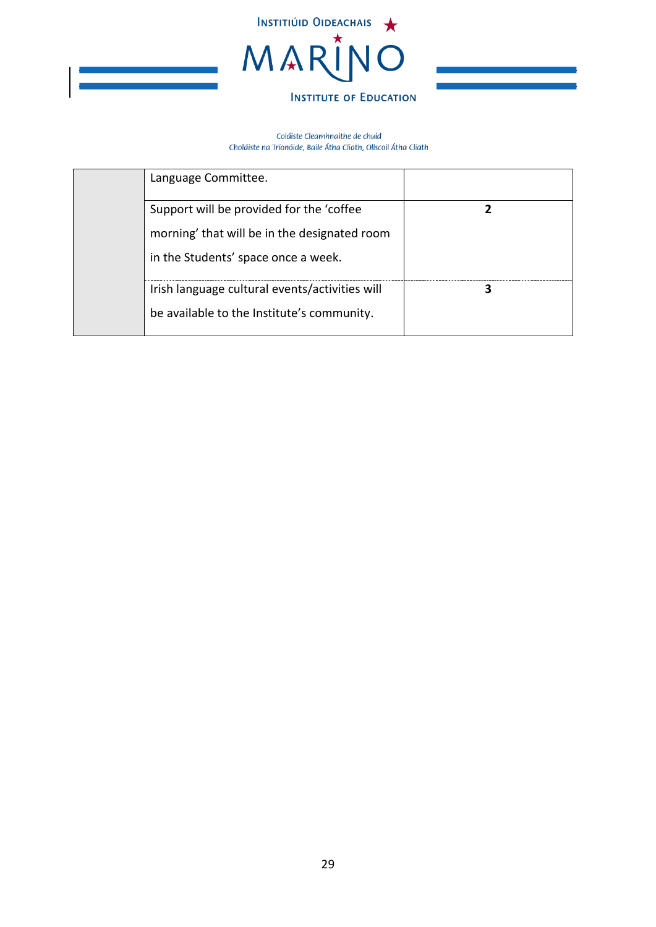

| Language Committee.                                                                                                             |  |
|---------------------------------------------------------------------------------------------------------------------------------|--|
| Support will be provided for the 'coffee<br>morning' that will be in the designated room<br>in the Students' space once a week. |  |
| Irish language cultural events/activities will<br>be available to the Institute's community.                                    |  |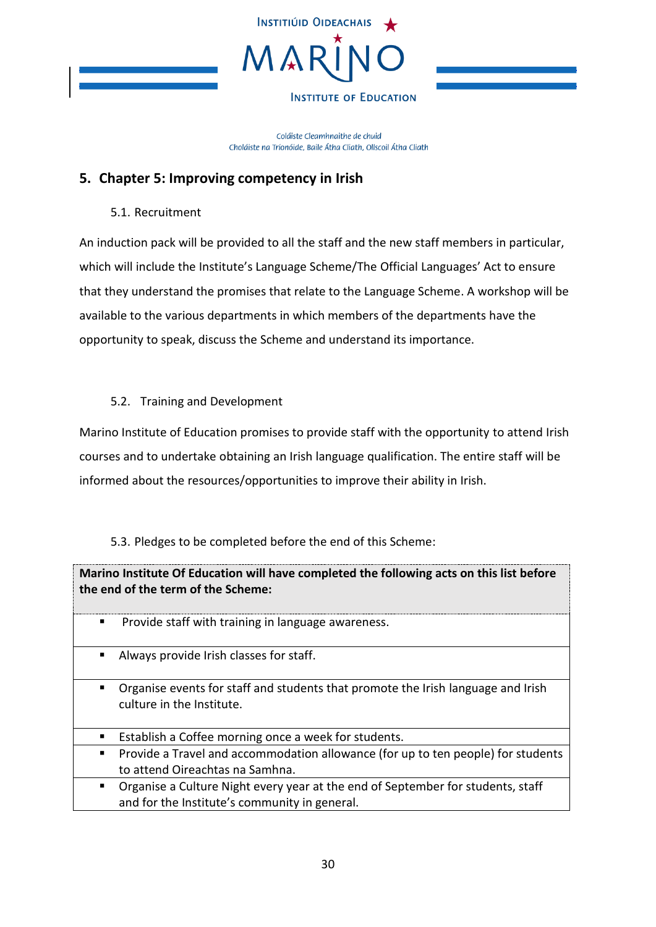

Coláiste Cleamhnaithe de chuid Choláiste na Tríonóide, Baile Átha Cliath, Ollscoil Átha Cliath

## <span id="page-29-0"></span>**5. Chapter 5: Improving competency in Irish**

5.1. Recruitment

<span id="page-29-1"></span>An induction pack will be provided to all the staff and the new staff members in particular, which will include the Institute's Language Scheme/The Official Languages' Act to ensure that they understand the promises that relate to the Language Scheme. A workshop will be available to the various departments in which members of the departments have the opportunity to speak, discuss the Scheme and understand its importance.

### <span id="page-29-2"></span>5.2. Training and Development

Marino Institute of Education promises to provide staff with the opportunity to attend Irish courses and to undertake obtaining an Irish language qualification. The entire staff will be informed about the resources/opportunities to improve their ability in Irish.

5.3. Pledges to be completed before the end of this Scheme:

<span id="page-29-3"></span>

|   | Marino Institute Of Education will have completed the following acts on this list before<br>the end of the term of the Scheme:   |
|---|----------------------------------------------------------------------------------------------------------------------------------|
| п | Provide staff with training in language awareness.                                                                               |
| ٠ | Always provide Irish classes for staff.                                                                                          |
| п | Organise events for staff and students that promote the Irish language and Irish<br>culture in the Institute.                    |
| п | Establish a Coffee morning once a week for students.                                                                             |
|   | Provide a Travel and accommodation allowance (for up to ten people) for students<br>to attend Oireachtas na Samhna.              |
| ٠ | Organise a Culture Night every year at the end of September for students, staff<br>and for the Institute's community in general. |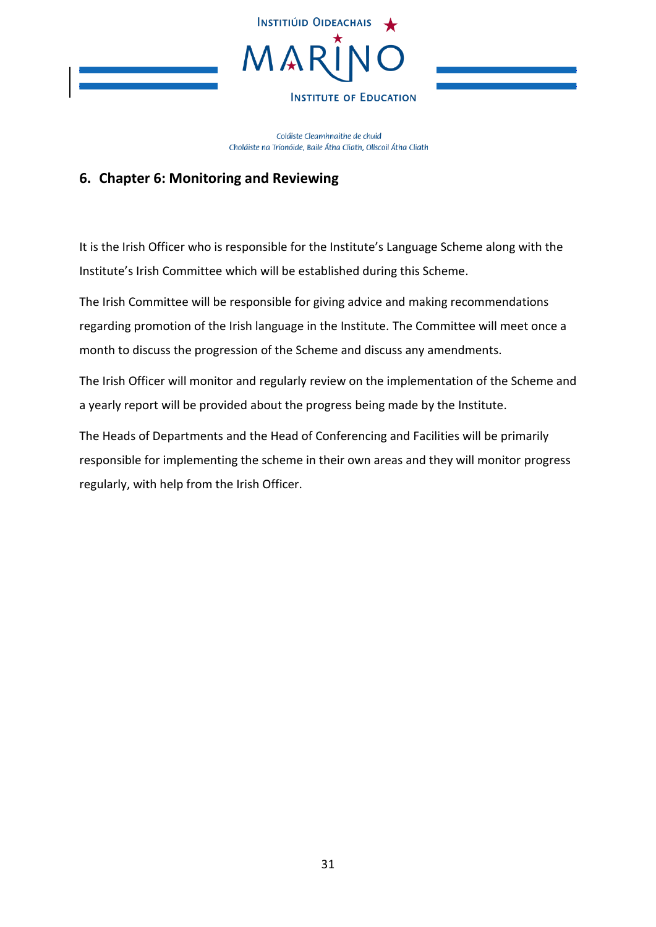

Coláiste Cleamhnaithe de chuid Choláiste na Tríonóide, Baile Átha Cliath, Ollscoil Átha Cliath

## <span id="page-30-0"></span>**6. Chapter 6: Monitoring and Reviewing**

It is the Irish Officer who is responsible for the Institute's Language Scheme along with the Institute's Irish Committee which will be established during this Scheme.

The Irish Committee will be responsible for giving advice and making recommendations regarding promotion of the Irish language in the Institute. The Committee will meet once a month to discuss the progression of the Scheme and discuss any amendments.

The Irish Officer will monitor and regularly review on the implementation of the Scheme and a yearly report will be provided about the progress being made by the Institute.

The Heads of Departments and the Head of Conferencing and Facilities will be primarily responsible for implementing the scheme in their own areas and they will monitor progress regularly, with help from the Irish Officer.